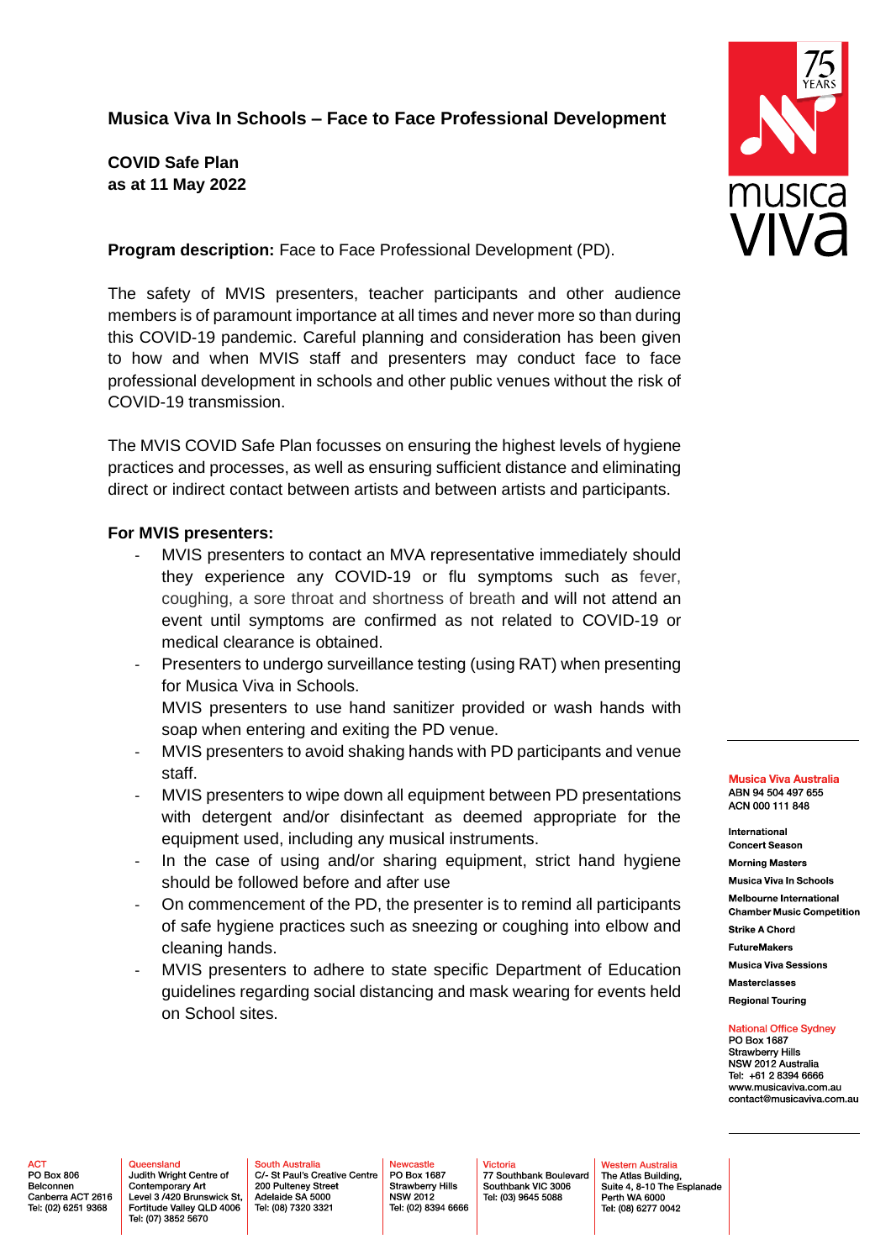## **Musica Viva In Schools – Face to Face Professional Development**

**COVID Safe Plan as at 11 May 2022**

**Program description:** Face to Face Professional Development (PD).

The safety of MVIS presenters, teacher participants and other audience members is of paramount importance at all times and never more so than during this COVID-19 pandemic. Careful planning and consideration has been given to how and when MVIS staff and presenters may conduct face to face professional development in schools and other public venues without the risk of COVID-19 transmission.

The MVIS COVID Safe Plan focusses on ensuring the highest levels of hygiene practices and processes, as well as ensuring sufficient distance and eliminating direct or indirect contact between artists and between artists and participants.

## **For MVIS presenters:**

- MVIS presenters to contact an MVA representative immediately should they experience any COVID-19 or flu symptoms such as fever, coughing, a sore throat and shortness of breath and will not attend an event until symptoms are confirmed as not related to COVID-19 or medical clearance is obtained.
- Presenters to undergo surveillance testing (using RAT) when presenting for Musica Viva in Schools.

MVIS presenters to use hand sanitizer provided or wash hands with soap when entering and exiting the PD venue.

- MVIS presenters to avoid shaking hands with PD participants and venue staff.
- MVIS presenters to wipe down all equipment between PD presentations with detergent and/or disinfectant as deemed appropriate for the equipment used, including any musical instruments.
- In the case of using and/or sharing equipment, strict hand hygiene should be followed before and after use
- On commencement of the PD, the presenter is to remind all participants of safe hygiene practices such as sneezing or coughing into elbow and cleaning hands.
- MVIS presenters to adhere to state specific Department of Education guidelines regarding social distancing and mask wearing for events held on School sites.



**Musica Viva Australia** ABN 94 504 497 655 ACN 000 111 848

International **Concert Season** 

**Morning Masters** Musica Viva In Schools

Melbourne International

**Chamber Music Competition** 

**Strike A Chord FutureMakers** 

**Musica Viva Sessions** 

**Masterclasses** 

**Regional Touring** 

**National Office Sydney** 

PO Box 1687 **Strawberry Hills** NSW 2012 Australia Tel: +61 2 8394 6666 www.musicaviva.com.au contact@musicaviva.com.au

**ACT** PO Box 806 Belconnen Canberra ACT 2616 Tel: (02) 6251 9368

Queensland Judith Wright Centre of Contemporary Art Level 3 /420 Brunswick St, Fortitude Valley QLD 4006 Tel: (07) 3852 5670

**South Australia** C/ St Paul's Creative Centre 200 Pulteney Street Adelaide SA 5000 Tel: (08) 7320 3321

ewcastle PO Box 1687 Strawberry Hills<br>NSW 2012 Tel: (02) 8394 6666

Victoria 77 Southbank Boulevard Southbank VIC 3006 Tel: (03) 9645 5088

Western Australia The Atlas Building, Suite 4, 8-10 The Esplanade Perth WA 6000 Tel: (08) 6277 0042